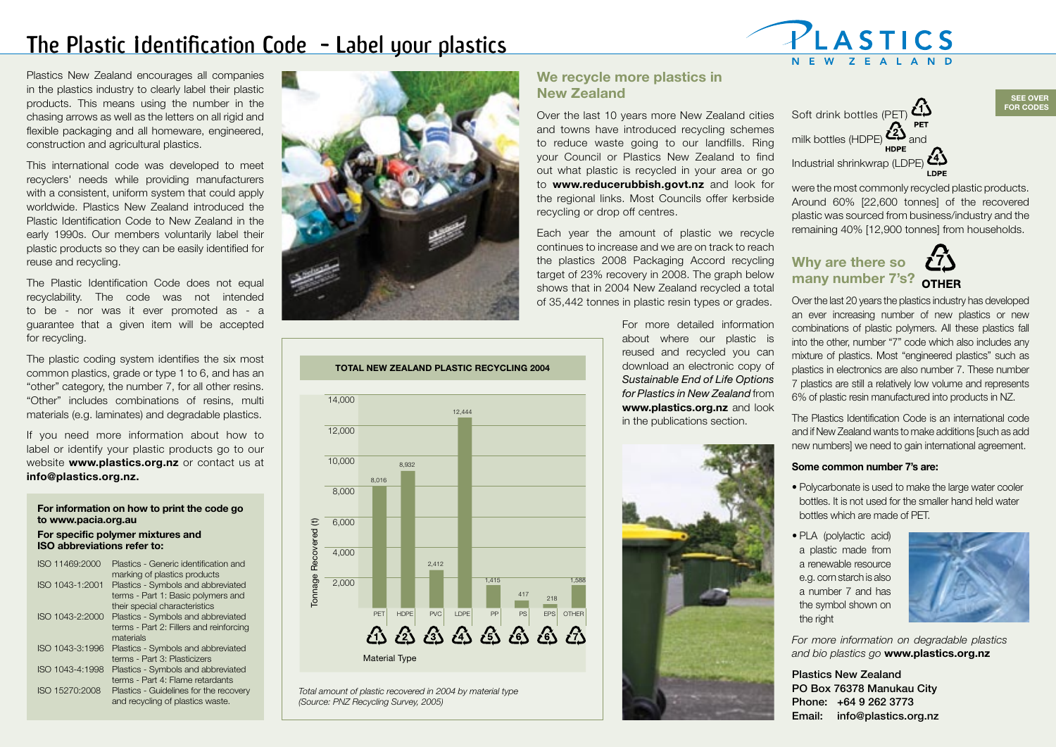# The Plastic Identification Code - Label your plastics



Plastics New Zealand encourages all companies in the plastics industry to clearly label their plastic products. This means using the number in the chasing arrows as well as the letters on all rigid and flexible packaging and all homeware, engineered, construction and agricultural plastics.

This international code was developed to meet recyclers' needs while providing manufacturers with a consistent, uniform system that could apply worldwide. Plastics New Zealand introduced the Plastic Identification Code to New Zealand in the early 1990s. Our members voluntarily label their plastic products so they can be easily identified for reuse and recycling.

The Plastic Identification Code does not equal recyclability. The code was not intended to be - nor was it ever promoted as - a guarantee that a given item will be accepted for recycling.

The plastic coding system identifies the six most common plastics, grade or type 1 to 6, and has an "other" category, the number 7, for all other resins. "Other" includes combinations of resins, multi materials (e.g. laminates) and degradable plastics.

If you need more information about how to label or identify your plastic products go to our website **www.plastics.org.nz** or contact us at **info@plastics.org.nz.** 

### **For information on how to print the code go to www.pacia.org.au**

#### **For specific polymer mixtures and ISO abbreviations refer to:**

| ISO 11469:2000  | Plastics - Generic identification and   |
|-----------------|-----------------------------------------|
|                 | marking of plastics products            |
| ISO 1043-1:2001 | Plastics - Symbols and abbreviated      |
|                 | terms - Part 1: Basic polymers and      |
|                 | their special characteristics           |
| ISO 1043-2:2000 | Plastics - Symbols and abbreviated      |
|                 | terms - Part 2: Fillers and reinforcing |
|                 | materials                               |
| ISO 1043-3:1996 | Plastics - Symbols and abbreviated      |
|                 | terms - Part 3: Plasticizers            |
| ISO 1043-4:1998 | Plastics - Symbols and abbreviated      |
|                 | terms - Part 4: Flame retardants        |
| ISO 15270:2008  | Plastics - Guidelines for the recovery  |
|                 | and recycling of plastics waste.        |



*Total amount of plastic recovered in 2004 by material type*

Material Type

*(Source: PNZ Recycling Survey, 2005)*

Tonnage Recovered (t)

Tonnage

Recovered

 $\widehat{E}$ 

12,000

8,000

6,000

4,000

 $10,000$  8,932 8,016

## **We recycle more plastics in New Zealand**

Over the last 10 years more New Zealand cities and towns have introduced recycling schemes to reduce waste going to our landfills. Ring your Council or Plastics New Zealand to find out what plastic is recycled in your area or go to **www.reducerubbish.govt.nz** and look for the regional links. Most Councils offer kerbside recycling or drop off centres.

Each year the amount of plastic we recycle continues to increase and we are on track to reach the plastics 2008 Packaging Accord recycling target of 23% recovery in 2008. The graph below shows that in 2004 New Zealand recycled a total of 35,442 tonnes in plastic resin types or grades.

> For more detailed information about where our plastic is reused and recycled you can download an electronic copy of *Sustainable End of Life Options for Plastics in New Zealand* from **www.plastics.org.nz** and look in the publications section.



Soft drink bottles (PET) 
$$
\mathcal{L}
$$

were the most commonly recycled plastic products. Around 60% [22,600 tonnes] of the recovered plastic was sourced from business/industry and the remaining 40% [12,900 tonnes] from households.

**SEE OVER FOR CODES**

## **Why are there so many number 7's?**

Over the last 20 years the plastics industry has developed an ever increasing number of new plastics or new combinations of plastic polymers. All these plastics fall into the other, number "7" code which also includes any mixture of plastics. Most "engineered plastics" such as plastics in electronics are also number 7. These number 7 plastics are still a relatively low volume and represents 6% of plastic resin manufactured into products in NZ.

The Plastics Identification Code is an international code and if New Zealand wants to make additions [such as add new numbers] we need to gain international agreement.

### **Some common number 7's are:**

- Polycarbonate is used to make the large water cooler bottles. It is not used for the smaller hand held water bottles which are made of PET.
- PLA (polylactic acid) a plastic made from a renewable resource e.g. corn starch is also a number 7 and has the symbol shown on the right



*For more information on degradable plastics and bio plastics go* **www.plastics.org.nz**

Plastics New Zealand PO Box 76378 Manukau City Phone: +64 9 262 3773 Email: info@plastics.org.nz

## **TOTAL NEW ZEALAND PLASTIC RECYCLING 2004** 14,000

2,412

PET HDPE PVC LDPE PP PS EPS OTHER

**A A A A A A** 

<sup>417</sup> <sup>218</sup>

1,588

 $2,000$  1,415

12,444